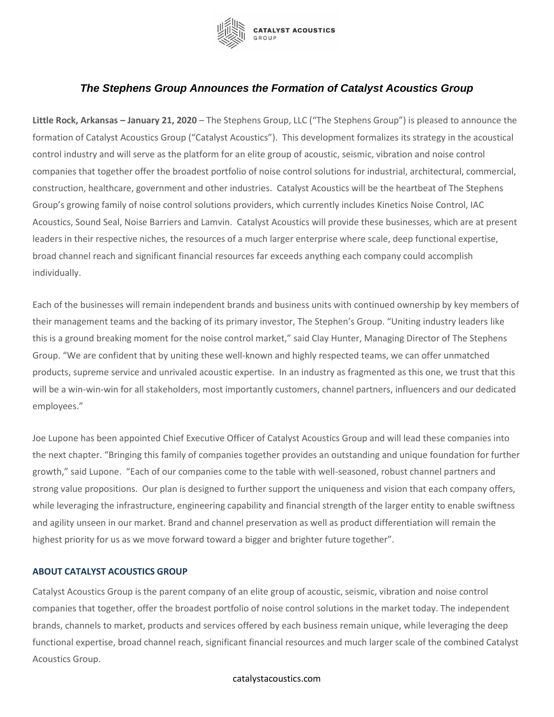

## *The Stephens Group Announces the Formation of Catalyst Acoustics Group*

**Little Rock, Arkansas – January 21, 2020** – The Stephens Group, LLC ("The Stephens Group") is pleased to announce the formation of Catalyst Acoustics Group ("Catalyst Acoustics"). This development formalizes its strategy in the acoustical control industry and will serve as the platform for an elite group of acoustic, seismic, vibration and noise control companies that together offer the broadest portfolio of noise control solutions for industrial, architectural, commercial, construction, healthcare, government and other industries. Catalyst Acoustics will be the heartbeat of The Stephens Group's growing family of noise control solutions providers, which currently includes Kinetics Noise Control, IAC Acoustics, Sound Seal, Noise Barriers and Lamvin. Catalyst Acoustics will provide these businesses, which are at present leaders in their respective niches, the resources of a much larger enterprise where scale, deep functional expertise, broad channel reach and significant financial resources far exceeds anything each company could accomplish individually.

Each of the businesses will remain independent brands and business units with continued ownership by key members of their management teams and the backing of its primary investor, The Stephen's Group. "Uniting industry leaders like this is a ground breaking moment for the noise control market," said Clay Hunter, Managing Director of The Stephens Group. "We are confident that by uniting these well-known and highly respected teams, we can offer unmatched products, supreme service and unrivaled acoustic expertise. In an industry as fragmented as this one, we trust that this will be a win-win-win for all stakeholders, most importantly customers, channel partners, influencers and our dedicated employees."

Joe Lupone has been appointed Chief Executive Officer of Catalyst Acoustics Group and will lead these companies into the next chapter. "Bringing this family of companies together provides an outstanding and unique foundation for further growth," said Lupone. "Each of our companies come to the table with well-seasoned, robust channel partners and strong value propositions. Our plan is designed to further support the uniqueness and vision that each company offers, while leveraging the infrastructure, engineering capability and financial strength of the larger entity to enable swiftness and agility unseen in our market. Brand and channel preservation as well as product differentiation will remain the highest priority for us as we move forward toward a bigger and brighter future together".

## **ABOUT CATALYST ACOUSTICS GROUP**

Catalyst Acoustics Group is the parent company of an elite group of acoustic, seismic, vibration and noise control companies that together, offer the broadest portfolio of noise control solutions in the market today. The independent brands, channels to market, products and services offered by each business remain unique, while leveraging the deep functional expertise, broad channel reach, significant financial resources and much larger scale of the combined Catalyst Acoustics Group.